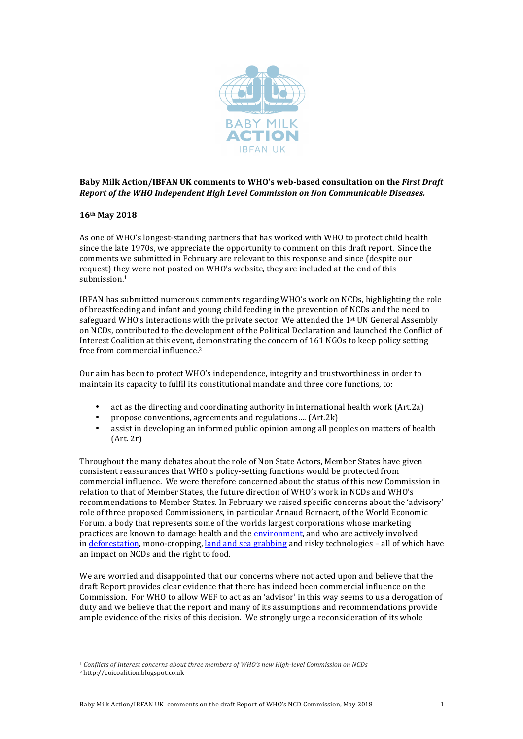

# Baby Milk Action/IBFAN UK comments to WHO's web-based consultation on the *First Draft Report of the WHO Independent High Level Commission on Non Communicable Diseases.*

# **16th May 2018**

As one of WHO's longest-standing partners that has worked with WHO to protect child health since the late 1970s, we appreciate the opportunity to comment on this draft report. Since the comments we submitted in February are relevant to this response and since (despite our request) they were not posted on WHO's website, they are included at the end of this submission. 1

IBFAN has submitted numerous comments regarding WHO's work on NCDs, highlighting the role of breastfeeding and infant and young child feeding in the prevention of NCDs and the need to safeguard WHO's interactions with the private sector. We attended the  $1<sup>st</sup>$  UN General Assembly on NCDs, contributed to the development of the Political Declaration and launched the Conflict of Interest Coalition at this event, demonstrating the concern of 161 NGOs to keep policy setting free from commercial influence.<sup>2</sup>

Our aim has been to protect WHO's independence, integrity and trustworthiness in order to maintain its capacity to fulfil its constitutional mandate and three core functions, to:

- act as the directing and coordinating authority in international health work (Art.2a)
- propose conventions, agreements and regulations....  $(Art.2k)$
- assist in developing an informed public opinion among all peoples on matters of health  $(Art, 2r)$

Throughout the many debates about the role of Non State Actors, Member States have given consistent reassurances that WHO's policy-setting functions would be protected from commercial influence. We were therefore concerned about the status of this new Commission in relation to that of Member States, the future direction of WHO's work in NCDs and WHO's recommendations to Member States. In February we raised specific concerns about the 'advisory' role of three proposed Commissioners, in particular Arnaud Bernaert, of the World Economic Forum, a body that represents some of the worlds largest corporations whose marketing practices are known to damage health and the environment, and who are actively involved in deforestation, mono-cropping, land and sea grabbing and risky technologies – all of which have an impact on NCDs and the right to food.

We are worried and disappointed that our concerns where not acted upon and believe that the draft Report provides clear evidence that there has indeed been commercial influence on the Commission. For WHO to allow WEF to act as an 'advisor' in this way seems to us a derogation of duty and we believe that the report and many of its assumptions and recommendations provide ample evidence of the risks of this decision. We strongly urge a reconsideration of its whole

.

<sup>&</sup>lt;sup>1</sup> Conflicts of Interest concerns about three members of WHO's new High-level Commission on NCDs

<sup>2</sup> http://coicoalition.blogspot.co.uk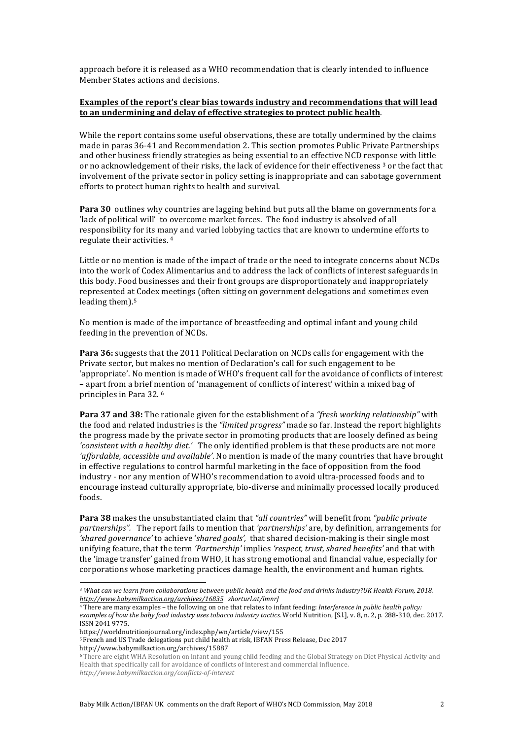approach before it is released as a WHO recommendation that is clearly intended to influence Member States actions and decisions.

### **Examples of the report's clear bias towards industry and recommendations that will lead to an undermining and delay of effective strategies to protect public health**.

While the report contains some useful observations, these are totally undermined by the claims made in paras 36-41 and Recommendation 2. This section promotes Public Private Partnerships and other business friendly strategies as being essential to an effective NCD response with little or no acknowledgement of their risks, the lack of evidence for their effectiveness <sup>3</sup> or the fact that involvement of the private sector in policy setting is inappropriate and can sabotage government efforts to protect human rights to health and survival.

**Para 30** outlines why countries are lagging behind but puts all the blame on governments for a 'lack of political will' to overcome market forces. The food industry is absolved of all responsibility for its many and varied lobbying tactics that are known to undermine efforts to regulate their activities. <sup>4</sup>

Little or no mention is made of the impact of trade or the need to integrate concerns about NCDs into the work of Codex Alimentarius and to address the lack of conflicts of interest safeguards in this body. Food businesses and their front groups are disproportionately and inappropriately represented at Codex meetings (often sitting on government delegations and sometimes even leading them). 5

No mention is made of the importance of breastfeeding and optimal infant and young child feeding in the prevention of NCDs.

**Para 36:** suggests that the 2011 Political Declaration on NCDs calls for engagement with the Private sector, but makes no mention of Declaration's call for such engagement to be 'appropriate'. No mention is made of WHO's frequent call for the avoidance of conflicts of interest – apart from a brief mention of 'management of conflicts of interest' within a mixed bag of principles in Para 32. <sup>6</sup>

**Para 37 and 38:** The rationale given for the establishment of a *"fresh working relationship"* with the food and related industries is the *"limited progress"* made so far. Instead the report highlights the progress made by the private sector in promoting products that are loosely defined as being *'consistent with a healthy diet.'* The only identified problem is that these products are not more *'affordable, accessible and available'*. No mention is made of the many countries that have brought in effective regulations to control harmful marketing in the face of opposition from the food industry - nor any mention of WHO's recommendation to avoid ultra-processed foods and to encourage instead culturally appropriate, bio-diverse and minimally processed locally produced foods.

**Para 38** makes the unsubstantiated claim that *"all countries"* will benefit from *"public private partnerships".* The report fails to mention that *'partnerships'* are, by definition, arrangements for *'shared governance'* to achieve '*shared goals',* that shared decision-making is their single most unifying feature, that the term *'Partnership'* implies *'respect, trust, shared benefits'* and that with the 'image transfer' gained from WHO, it has strong emotional and financial value, especially for corporations whose marketing practices damage health, the environment and human rights.

.

<sup>5</sup> French and US Trade delegations put child health at risk, IBFAN Press Release, Dec 2017 http://www.babymilkaction.org/archives/15887

<sup>&</sup>lt;sup>3</sup> What can we learn from collaborations between public health and the food and drinks industry?UK Health Forum, 2018. *http://www.babymilkaction.org/archives/16835 shorturl.at/lmnrJ*

<sup>&</sup>lt;sup>4</sup> There are many examples – the following on one that relates to infant feeding: *Interference in public health policy:* examples of how the baby food industry uses tobacco industry tactics. World Nutrition, [S.l.], v. 8, n. 2, p. 288-310, dec. 2017. ISSN 2041 9775.

https://worldnutritionjournal.org/index.php/wn/article/view/155

<sup>6</sup> There are eight WHA Resolution on infant and young child feeding and the Global Strategy on Diet Physical Activity and Health that specifically call for avoidance of conflicts of interest and commercial influence. *http://www.babymilkaction.org/conflicts-of-interest*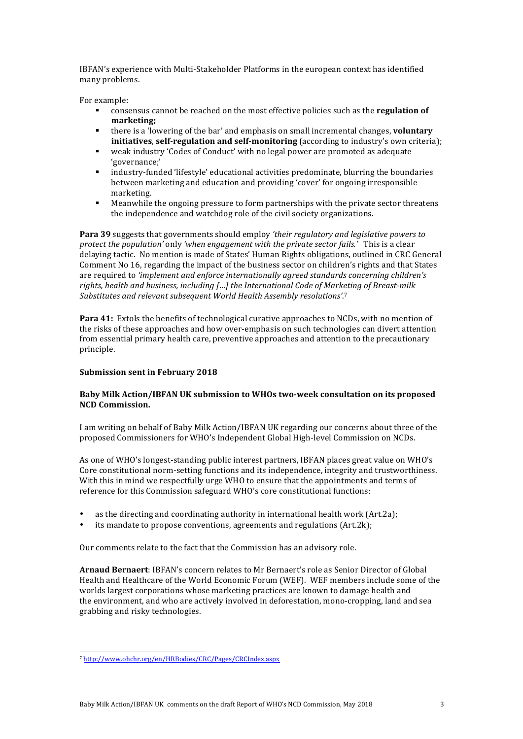IBFAN's experience with Multi-Stakeholder Platforms in the european context has identified many problems.

For example:

- § consensus cannot be reached on the most effective policies such as the **regulation of marketing;**
- § there is a 'lowering of the bar' and emphasis on small incremental changes, **voluntary initiatives**, **self-regulation and self-monitoring** (according to industry's own criteria);
- weak industry 'Codes of Conduct' with no legal power are promoted as adequate 'governance;'
- § industry-funded 'lifestyle' educational activities predominate, blurring the boundaries between marketing and education and providing 'cover' for ongoing irresponsible marketing.
- Meanwhile the ongoing pressure to form partnerships with the private sector threatens the independence and watchdog role of the civil society organizations.

**Para 39** suggests that governments should employ *'their regulatory and legislative powers to protect the population'* only *'when engagement with the private sector fails.'* This is a clear delaying tactic. No mention is made of States' Human Rights obligations, outlined in CRC General Comment No 16, regarding the impact of the business sector on children's rights and that States are required to 'implement and enforce internationally agreed standards concerning children's rights, health and business, including  $f...$  the International Code of Marketing of Breast-milk Substitutes and relevant subsequent World Health Assembly resolutions'.<sup>7</sup>

**Para 41:** Extols the benefits of technological curative approaches to NCDs, with no mention of the risks of these approaches and how over-emphasis on such technologies can divert attention from essential primary health care, preventive approaches and attention to the precautionary principle.

#### **Submission sent in February 2018**

### **Baby Milk Action/IBFAN UK submission to WHOs two-week consultation on its proposed NCD Commission.**

I am writing on behalf of Baby Milk Action/IBFAN UK regarding our concerns about three of the proposed Commissioners for WHO's Independent Global High-level Commission on NCDs.

As one of WHO's longest-standing public interest partners, IBFAN places great value on WHO's Core constitutional norm-setting functions and its independence, integrity and trustworthiness. With this in mind we respectfully urge WHO to ensure that the appointments and terms of reference for this Commission safeguard WHO's core constitutional functions:

- as the directing and coordinating authority in international health work  $(Art.2a)$ ;
- its mandate to propose conventions, agreements and regulations  $(Art.2k)$ ;

Our comments relate to the fact that the Commission has an advisory role.

**Arnaud Bernaert:** IBFAN's concern relates to Mr Bernaert's role as Senior Director of Global Health and Healthcare of the World Economic Forum (WEF). WEF members include some of the worlds largest corporations whose marketing practices are known to damage health and the environment, and who are actively involved in deforestation, mono-cropping, land and sea grabbing and risky technologies.

-

<sup>7</sup> http://www.ohchr.org/en/HRBodies/CRC/Pages/CRCIndex.aspx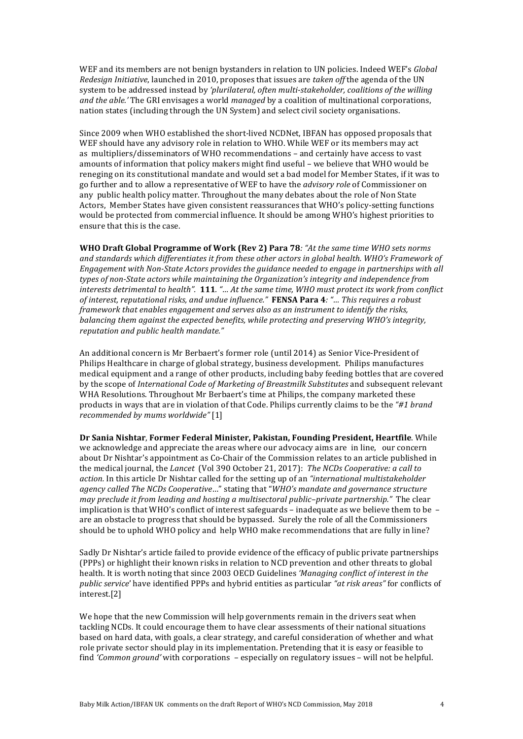WEF and its members are not benign bystanders in relation to UN policies. Indeed WEF's *Global Redesign Initiative*, launched in 2010, proposes that issues are *taken off* the agenda of the UN system to be addressed instead by *'plurilateral, often multi-stakeholder, coalitions of the willing and* the *able*.' The GRI envisages a world *managed* by a coalition of multinational corporations, nation states (including through the UN System) and select civil society organisations.

Since 2009 when WHO established the short-lived NCDNet, IBFAN has opposed proposals that WEF should have any advisory role in relation to WHO. While WEF or its members may act as multipliers/disseminators of WHO recommendations - and certainly have access to vast amounts of information that policy makers might find useful – we believe that WHO would be reneging on its constitutional mandate and would set a bad model for Member States, if it was to go further and to allow a representative of WEF to have the *advisory role* of Commissioner on any public health policy matter. Throughout the many debates about the role of Non State Actors, Member States have given consistent reassurances that WHO's policy-setting functions would be protected from commercial influence. It should be among WHO's highest priorities to ensure that this is the case.

**WHO Draft Global Programme of Work (Rev 2) Para 78***: "At the same time WHO sets norms and standards which differentiates it from these other actors in global health. WHO's Framework of Engagement with Non-State Actors provides the guidance needed to engage in partnerships with all types of non-State actors while maintaining the Organization's integrity and independence from* interests detrimental to health". 111. "... At the same time, WHO must protect its work from conflict *of interest, reputational risks, and undue influence."* **FENSA Para 4***: "… This requires a robust framework that enables engagement and serves also as an instrument to identify the risks, balancing them against the expected benefits, while protecting and preserving WHO's integrity, reputation and public health mandate."*

An additional concern is Mr Berbaert's former role (until 2014) as Senior Vice-President of Philips Healthcare in charge of global strategy, business development. Philips manufactures medical equipment and a range of other products, including baby feeding bottles that are covered by the scope of *International Code of Marketing of Breastmilk Substitutes* and subsequent relevant WHA Resolutions. Throughout Mr Berbaert's time at Philips, the company marketed these products in ways that are in violation of that Code. Philips currently claims to be the "#1 *brand recommended by mums worldwide"* [1]

**Dr Sania Nishtar**, **Former Federal Minister, Pakistan, Founding President, Heartfile**. While we acknowledge and appreciate the areas where our advocacy aims are in line, our concern about Dr Nishtar's appointment as Co-Chair of the Commission relates to an article published in the medical journal, the *Lancet* (Vol 390 October 21, 2017): *The NCDs Cooperative: a call to action.* In this article Dr Nishtar called for the setting up of an "international multistakeholder *agency called The NCDs Cooperative*…" stating that "*WHO's mandate and governance structure may preclude it from leading and hosting a multisectoral public–private partnership."* The clear implication is that WHO's conflict of interest safeguards – inadequate as we believe them to be – are an obstacle to progress that should be bypassed. Surely the role of all the Commissioners should be to uphold WHO policy and help WHO make recommendations that are fully in line?

Sadly Dr Nishtar's article failed to provide evidence of the efficacy of public private partnerships (PPPs) or highlight their known risks in relation to NCD prevention and other threats to global health. It is worth noting that since 2003 OECD Guidelines 'Managing conflict of interest in the *public service*' have identified PPPs and hybrid entities as particular *"at risk areas"* for conflicts of interest.[2]

We hope that the new Commission will help governments remain in the drivers seat when tackling NCDs. It could encourage them to have clear assessments of their national situations based on hard data, with goals, a clear strategy, and careful consideration of whether and what role private sector should play in its implementation. Pretending that it is easy or feasible to find 'Common ground' with corporations - especially on regulatory issues - will not be helpful.